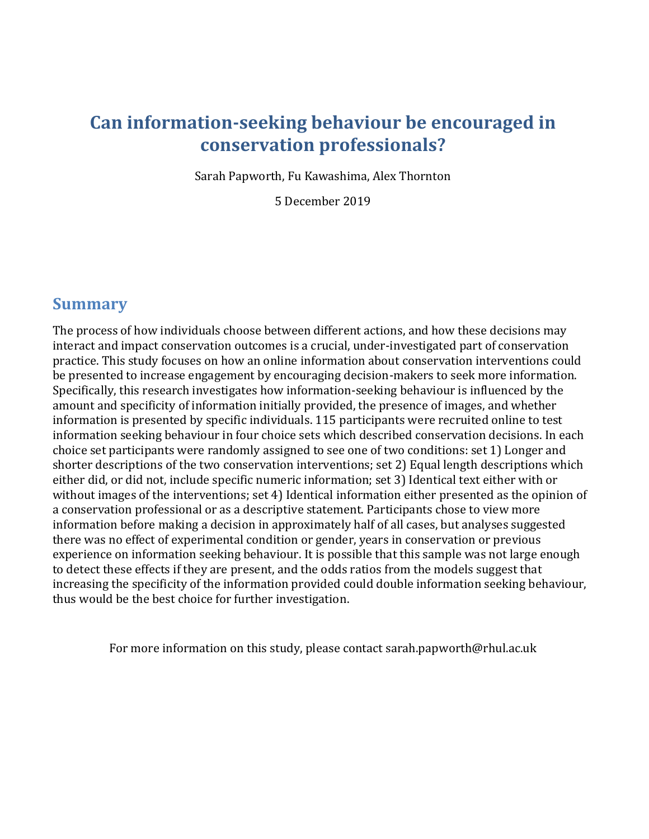# **Can information-seeking behaviour be encouraged in conservation professionals?**

Sarah Papworth, Fu Kawashima, Alex Thornton

5 December 2019

### **Summary**

The process of how individuals choose between different actions, and how these decisions may interact and impact conservation outcomes is a crucial, under-investigated part of conservation practice. This study focuses on how an online information about conservation interventions could be presented to increase engagement by encouraging decision-makers to seek more information. Specifically, this research investigates how information-seeking behaviour is influenced by the amount and specificity of information initially provided, the presence of images, and whether information is presented by specific individuals. 115 participants were recruited online to test information seeking behaviour in four choice sets which described conservation decisions. In each choice set participants were randomly assigned to see one of two conditions: set 1) Longer and shorter descriptions of the two conservation interventions; set 2) Equal length descriptions which either did, or did not, include specific numeric information; set 3) Identical text either with or without images of the interventions; set 4) Identical information either presented as the opinion of a conservation professional or as a descriptive statement. Participants chose to view more information before making a decision in approximately half of all cases, but analyses suggested there was no effect of experimental condition or gender, years in conservation or previous experience on information seeking behaviour. It is possible that this sample was not large enough to detect these effects if they are present, and the odds ratios from the models suggest that increasing the specificity of the information provided could double information seeking behaviour, thus would be the best choice for further investigation.

For more information on this study, please contact sarah.papworth@rhul.ac.uk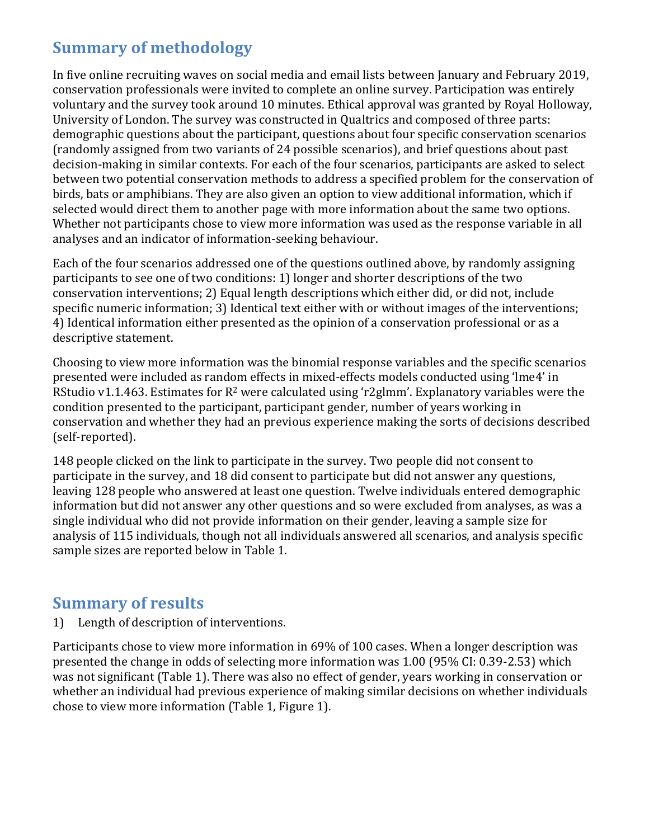## **Summary of methodology**

In five online recruiting waves on social media and email lists between January and February 2019, conservation professionals were invited to complete an online survey. Participation was entirely voluntary and the survey took around 10 minutes. Ethical approval was granted by Royal Holloway, University of London. The survey was constructed in Qualtrics and composed of three parts: demographic questions about the participant, questions about four specific conservation scenarios (randomly assigned from two variants of 24 possible scenarios), and brief questions about past decision-making in similar contexts. For each of the four scenarios, participants are asked to select between two potential conservation methods to address a specified problem for the conservation of birds, bats or amphibians. They are also given an option to view additional information, which if selected would direct them to another page with more information about the same two options. Whether not participants chose to view more information was used as the response variable in all analyses and an indicator of information-seeking behaviour.

Each of the four scenarios addressed one of the questions outlined above, by randomly assigning participants to see one of two conditions: 1) longer and shorter descriptions of the two conservation interventions; 2) Equal length descriptions which either did, or did not, include specific numeric information; 3) Identical text either with or without images of the interventions; 4) Identical information either presented as the opinion of a conservation professional or as a descriptive statement.

Choosing to view more information was the binomial response variables and the specific scenarios presented were included as random effects in mixed-effects models conducted using 'lme4' in RStudio v1.1.463. Estimates for  $R^2$  were calculated using 'r2glmm'. Explanatory variables were the condition presented to the participant, participant gender, number of years working in conservation and whether they had an previous experience making the sorts of decisions described (self-reported).

148 people clicked on the link to participate in the survey. Two people did not consent to participate in the survey, and 18 did consent to participate but did not answer any questions, leaving 128 people who answered at least one question. Twelve individuals entered demographic information but did not answer any other questions and so were excluded from analyses, as was a single individual who did not provide information on their gender, leaving a sample size for analysis of 115 individuals, though not all individuals answered all scenarios, and analysis specific sample sizes are reported below in Table 1.

### **Summary of results**

1) Length of description of interventions.

Participants chose to view more information in 69% of 100 cases. When a longer description was presented the change in odds of selecting more information was 1.00 (95% CI: 0.39-2.53) which was not significant (Table 1). There was also no effect of gender, years working in conservation or whether an individual had previous experience of making similar decisions on whether individuals chose to view more information (Table 1, Figure 1).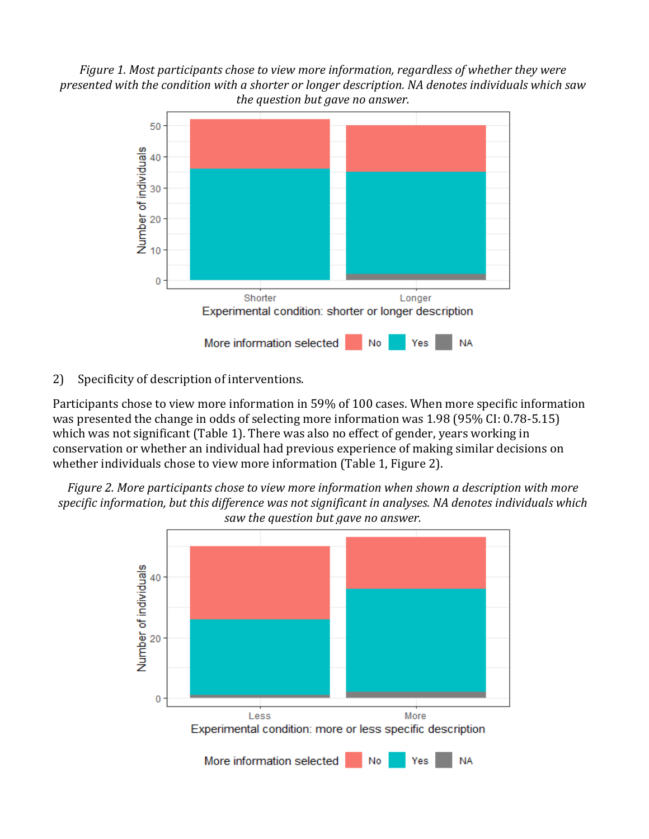*Figure 1. Most participants chose to view more information, regardless of whether they were presented with the condition with a shorter or longer description. NA denotes individuals which saw the question but gave no answer.*



2) Specificity of description of interventions.

Participants chose to view more information in 59% of 100 cases. When more specific information was presented the change in odds of selecting more information was 1.98 (95% CI: 0.78-5.15) which was not significant (Table 1). There was also no effect of gender, years working in conservation or whether an individual had previous experience of making similar decisions on whether individuals chose to view more information (Table 1, Figure 2).

*Figure 2. More participants chose to view more information when shown a description with more specific information, but this difference was not significant in analyses. NA denotes individuals which saw the question but gave no answer.*

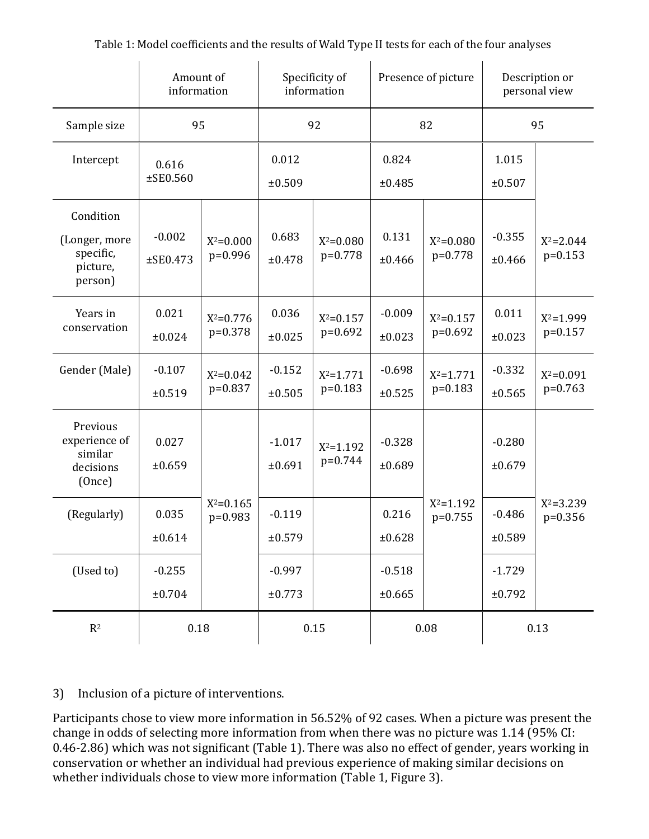|                                                                | Amount of<br>information |                            | Specificity of<br>information |                            | Presence of picture  |                            | Description or<br>personal view |                            |
|----------------------------------------------------------------|--------------------------|----------------------------|-------------------------------|----------------------------|----------------------|----------------------------|---------------------------------|----------------------------|
| Sample size                                                    | 95                       |                            | 92                            |                            | 82                   |                            | 95                              |                            |
| Intercept                                                      | 0.616<br>$±$ SE0.560     |                            | 0.012<br>±0.509               |                            | 0.824<br>±0.485      |                            | 1.015<br>±0.507                 |                            |
| Condition<br>(Longer, more<br>specific,<br>picture,<br>person) | $-0.002$<br>$±$ SE0.473  | $X^2 = 0.000$<br>$p=0.996$ | 0.683<br>±0.478               | $X^2 = 0.080$<br>p=0.778   | 0.131<br>±0.466      | $X^2 = 0.080$<br>$p=0.778$ | $-0.355$<br>±0.466              | $X^2 = 2.044$<br>$p=0.153$ |
| Years in<br>conservation                                       | 0.021<br>±0.024          | $X^2 = 0.776$<br>$p=0.378$ | 0.036<br>±0.025               | $X^2 = 0.157$<br>p=0.692   | $-0.009$<br>±0.023   | $X^2 = 0.157$<br>$p=0.692$ | 0.011<br>±0.023                 | $X^2 = 1.999$<br>p=0.157   |
| Gender (Male)                                                  | $-0.107$<br>±0.519       | $X^2 = 0.042$<br>p=0.837   | $-0.152$<br>±0.505            | $X^2 = 1.771$<br>$p=0.183$ | $-0.698$<br>±0.525   | $X^2 = 1.771$<br>$p=0.183$ | $-0.332$<br>±0.565              | $X^2 = 0.091$<br>$p=0.763$ |
| Previous<br>experience of<br>similar<br>decisions<br>(Once)    | 0.027<br>±0.659          | $X^2 = 0.165$              | $-1.017$<br>±0.691            | $X^2 = 1.192$<br>p=0.744   | $-0.328$<br>±0.689   | $X^2 = 1.192$              | $-0.280$<br>±0.679              | $X^2 = 3.239$              |
| (Regularly)                                                    | 0.035<br>±0.614          | $p=0.983$                  | $-0.119$<br>±0.579            |                            | 0.216<br>$\pm 0.628$ | $p=0.755$                  | $-0.486$<br>±0.589              | $p=0.356$                  |
| (Used to)                                                      | $-0.255$<br>±0.704       |                            | $-0.997$<br>±0.773            |                            | $-0.518$<br>±0.665   |                            | $-1.729$<br>±0.792              |                            |
| $\mathbf{R}^2$                                                 | $0.18\,$                 |                            | $0.15\,$                      |                            | 0.08                 |                            | 0.13                            |                            |

Table 1: Model coefficients and the results of Wald Type II tests for each of the four analyses

#### 3) Inclusion of a picture of interventions.

Participants chose to view more information in 56.52% of 92 cases. When a picture was present the change in odds of selecting more information from when there was no picture was 1.14 (95% CI: 0.46-2.86) which was not significant (Table 1). There was also no effect of gender, years working in conservation or whether an individual had previous experience of making similar decisions on whether individuals chose to view more information (Table 1, Figure 3).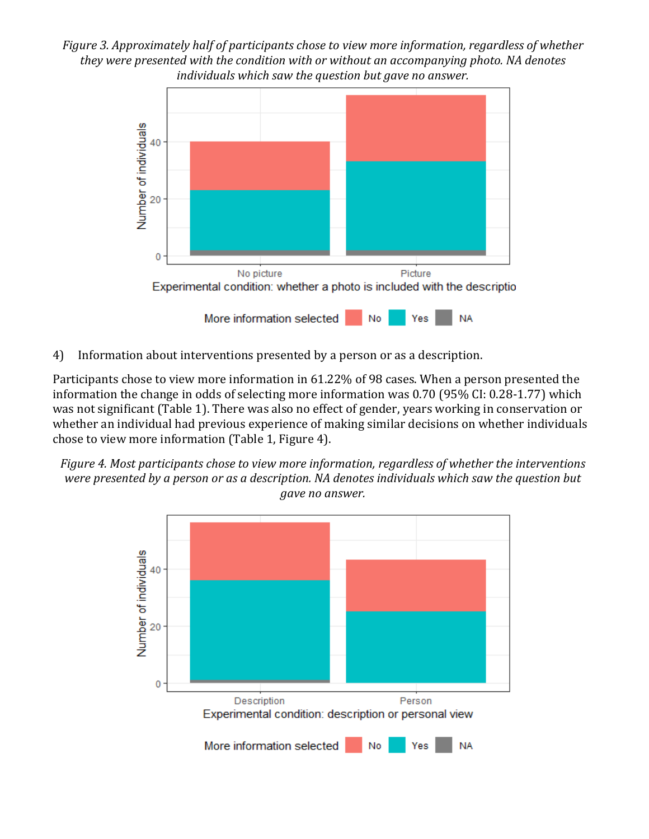*Figure 3. Approximately half of participants chose to view more information, regardless of whether they were presented with the condition with or without an accompanying photo. NA denotes individuals which saw the question but gave no answer.*



4) Information about interventions presented by a person or as a description.

Participants chose to view more information in 61.22% of 98 cases. When a person presented the information the change in odds of selecting more information was 0.70 (95% CI: 0.28-1.77) which was not significant (Table 1). There was also no effect of gender, years working in conservation or whether an individual had previous experience of making similar decisions on whether individuals chose to view more information (Table 1, Figure 4).